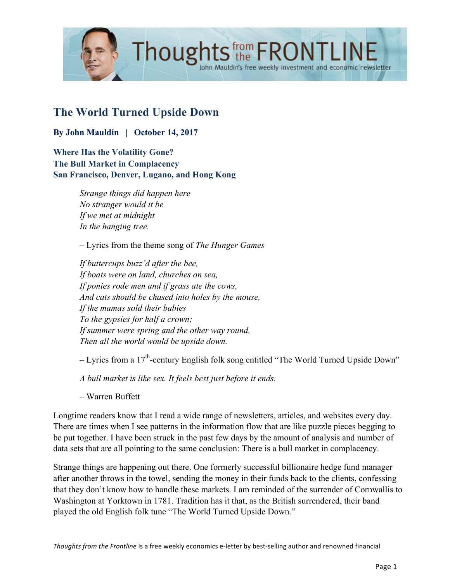

# **The World Turned Upside Down**

**By John Mauldin | October 14, 2017**

**Where Has the Volatility Gone? The Bull Market in Complacency San Francisco, Denver, Lugano, and Hong Kong**

> *Strange things did happen here No stranger would it be If we met at midnight In the hanging tree.*

– Lyrics from the theme song of *The Hunger Games*

*If buttercups buzz'd after the bee, If boats were on land, churches on sea, If ponies rode men and if grass ate the cows, And cats should be chased into holes by the mouse, If the mamas sold their babies To the gypsies for half a crown; If summer were spring and the other way round, Then all the world would be upside down.*

 $-$  Lyrics from a 17<sup>th</sup>-century English folk song entitled "The World Turned Upside Down"

*A bull market is like sex. It feels best just before it ends.*

– Warren Buffett

Longtime readers know that I read a wide range of newsletters, articles, and websites every day. There are times when I see patterns in the information flow that are like puzzle pieces begging to be put together. I have been struck in the past few days by the amount of analysis and number of data sets that are all pointing to the same conclusion: There is a bull market in complacency.

Strange things are happening out there. One formerly successful billionaire hedge fund manager after another throws in the towel, sending the money in their funds back to the clients, confessing that they don't know how to handle these markets. I am reminded of the surrender of Cornwallis to Washington at Yorktown in 1781. Tradition has it that, as the British surrendered, their band played the old English folk tune "The World Turned Upside Down."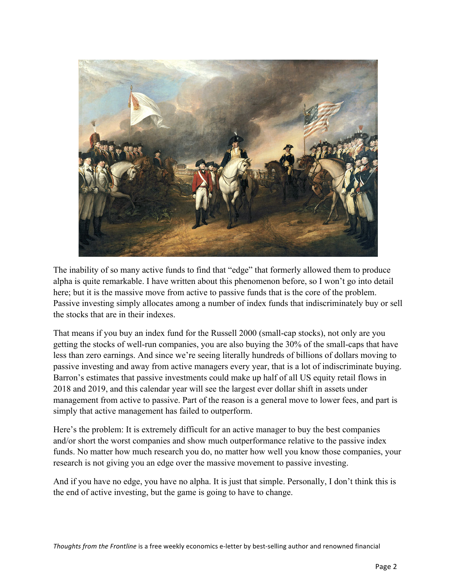

The inability of so many active funds to find that "edge" that formerly allowed them to produce alpha is quite remarkable. I have written about this phenomenon before, so I won't go into detail here; but it is the massive move from active to passive funds that is the core of the problem. Passive investing simply allocates among a number of index funds that indiscriminately buy or sell the stocks that are in their indexes.

That means if you buy an index fund for the Russell 2000 (small-cap stocks), not only are you getting the stocks of well-run companies, you are also buying the 30% of the small-caps that have less than zero earnings. And since we're seeing literally hundreds of billions of dollars moving to passive investing and away from active managers every year, that is a lot of indiscriminate buying. Barron's estimates that passive investments could make up half of all US equity retail flows in 2018 and 2019, and this calendar year will see the largest ever dollar shift in assets under management from active to passive. Part of the reason is a general move to lower fees, and part is simply that active management has failed to outperform.

Here's the problem: It is extremely difficult for an active manager to buy the best companies and/or short the worst companies and show much outperformance relative to the passive index funds. No matter how much research you do, no matter how well you know those companies, your research is not giving you an edge over the massive movement to passive investing.

And if you have no edge, you have no alpha. It is just that simple. Personally, I don't think this is the end of active investing, but the game is going to have to change.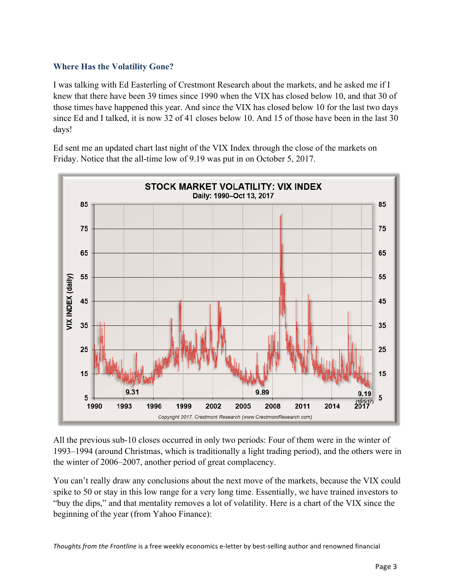# **Where Has the Volatility Gone?**

I was talking with Ed Easterling of Crestmont Research about the markets, and he asked me if I knew that there have been 39 times since 1990 when the VIX has closed below 10, and that 30 of those times have happened this year. And since the VIX has closed below 10 for the last two days since Ed and I talked, it is now 32 of 41 closes below 10. And 15 of those have been in the last 30 days!

Ed sent me an updated chart last night of the VIX Index through the close of the markets on Friday. Notice that the all-time low of 9.19 was put in on October 5, 2017.



All the previous sub-10 closes occurred in only two periods: Four of them were in the winter of 1993–1994 (around Christmas, which is traditionally a light trading period), and the others were in the winter of 2006–2007, another period of great complacency.

You can't really draw any conclusions about the next move of the markets, because the VIX could spike to 50 or stay in this low range for a very long time. Essentially, we have trained investors to "buy the dips," and that mentality removes a lot of volatility. Here is a chart of the VIX since the beginning of the year (from Yahoo Finance):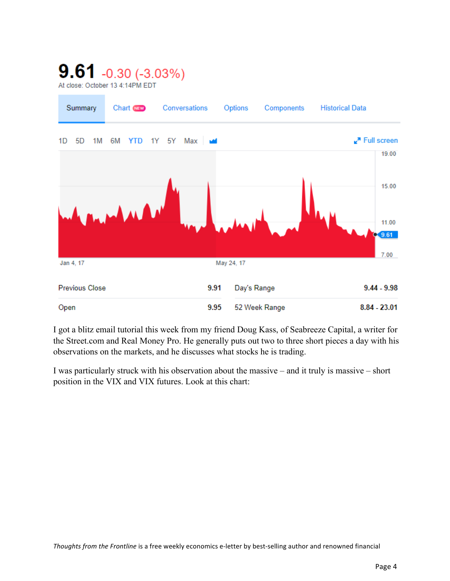# $9.61 - 0.30 (-3.03\%)$

At close: October 13 4:14PM EDT



I got a blitz email tutorial this week from my friend Doug Kass, of Seabreeze Capital, a writer for the Street.com and Real Money Pro. He generally puts out two to three short pieces a day with his observations on the markets, and he discusses what stocks he is trading.

I was particularly struck with his observation about the massive – and it truly is massive – short position in the VIX and VIX futures. Look at this chart: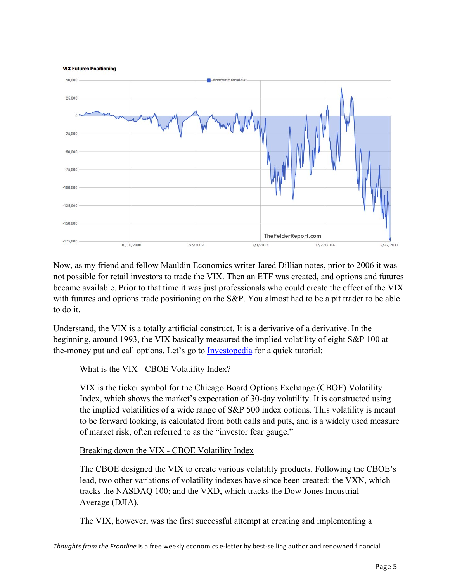

Now, as my friend and fellow Mauldin Economics writer Jared Dillian notes, prior to 2006 it was not possible for retail investors to trade the VIX. Then an ETF was created, and options and futures became available. Prior to that time it was just professionals who could create the effect of the VIX with futures and options trade positioning on the S&P. You almost had to be a pit trader to be able to do it.

Understand, the VIX is a totally artificial construct. It is a derivative of a derivative. In the beginning, around 1993, the VIX basically measured the implied volatility of eight S&P 100 atthe-money put and call options. Let's go t[o Investopedia](http://www.investopedia.com/terms/v/vix.asp) for a quick tutorial:

# What is the VIX - CBOE Volatility Index?

VIX is the ticker symbol for the Chicago Board Options Exchange (CBOE) Volatility Index, which shows the market's expectation of 30-day volatility. It is constructed using the implied volatilities of a wide range of S&P 500 index options. This volatility is meant to be forward looking, is calculated from both calls and puts, and is a widely used measure of market risk, often referred to as the "investor fear gauge."

# Breaking down the VIX - CBOE Volatility Index

The CBOE designed the VIX to create various volatility products. Following the CBOE's lead, two other variations of volatility indexes have since been created: the VXN, which tracks the NASDAQ 100; and the VXD, which tracks the Dow Jones Industrial Average (DJIA).

The VIX, however, was the first successful attempt at creating and implementing a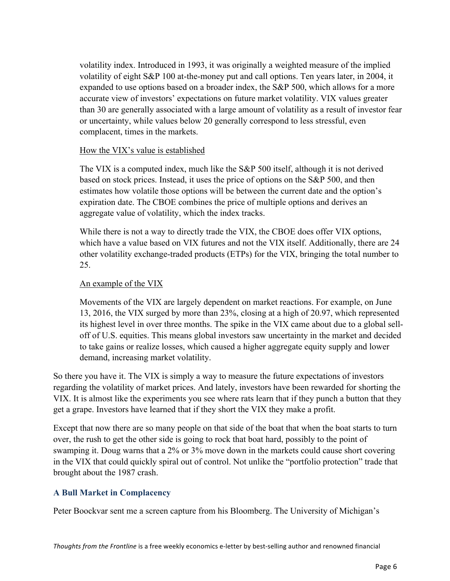volatility index. Introduced in 1993, it was originally a weighted measure of the implied volatility of eight S&P 100 at-the-money put and call options. Ten years later, in 2004, it expanded to use options based on a broader index, the S&P 500, which allows for a more accurate view of investors' expectations on future market volatility. VIX values greater than 30 are generally associated with a large amount of volatility as a result of investor fear or uncertainty, while values below 20 generally correspond to less stressful, even complacent, times in the markets.

#### How the VIX's value is established

The VIX is a computed index, much like the S&P 500 itself, although it is not derived based on stock prices. Instead, it uses the price of options on the S&P 500, and then estimates how volatile those options will be between the current date and the option's expiration date. The CBOE combines the price of multiple options and derives an aggregate value of volatility, which the index tracks.

While there is not a way to directly trade the VIX, the CBOE does offer VIX options, which have a value based on VIX futures and not the VIX itself. Additionally, there are 24 other volatility exchange-traded products (ETPs) for the VIX, bringing the total number to 25.

#### An example of the VIX

Movements of the VIX are largely dependent on market reactions. For example, on June 13, 2016, the VIX surged by more than 23%, closing at a high of 20.97, which represented its highest level in over three months. The spike in the VIX came about due to a global selloff of U.S. equities. This means global investors saw uncertainty in the market and decided to take gains or realize losses, which caused a higher aggregate equity supply and lower demand, increasing market volatility.

So there you have it. The VIX is simply a way to measure the future expectations of investors regarding the volatility of market prices. And lately, investors have been rewarded for shorting the VIX. It is almost like the experiments you see where rats learn that if they punch a button that they get a grape. Investors have learned that if they short the VIX they make a profit.

Except that now there are so many people on that side of the boat that when the boat starts to turn over, the rush to get the other side is going to rock that boat hard, possibly to the point of swamping it. Doug warns that a 2% or 3% move down in the markets could cause short covering in the VIX that could quickly spiral out of control. Not unlike the "portfolio protection" trade that brought about the 1987 crash.

#### **A Bull Market in Complacency**

Peter Boockvar sent me a screen capture from his Bloomberg. The University of Michigan's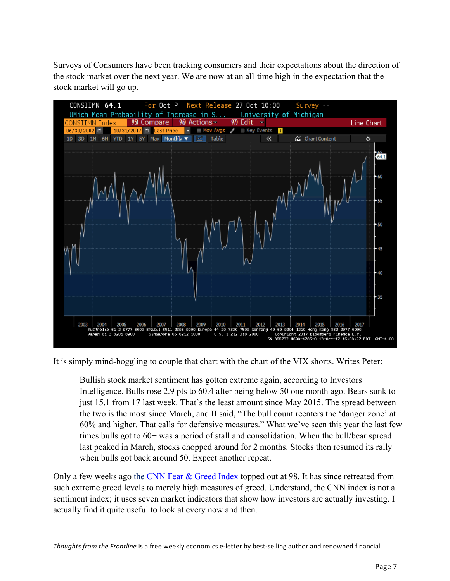Surveys of Consumers have been tracking consumers and their expectations about the direction of the stock market over the next year. We are now at an all-time high in the expectation that the stock market will go up.



It is simply mind-boggling to couple that chart with the chart of the VIX shorts. Writes Peter:

Bullish stock market sentiment has gotten extreme again, according to Investors Intelligence. Bulls rose 2.9 pts to 60.4 after being below 50 one month ago. Bears sunk to just 15.1 from 17 last week. That's the least amount since May 2015. The spread between the two is the most since March, and II said, "The bull count reenters the 'danger zone' at 60% and higher. That calls for defensive measures." What we've seen this year the last few times bulls got to 60+ was a period of stall and consolidation. When the bull/bear spread last peaked in March, stocks chopped around for 2 months. Stocks then resumed its rally when bulls got back around 50. Expect another repeat.

Only a few weeks ago the [CNN Fear & Greed Index](http://money.cnn.com/data/fear-and-greed/) topped out at 98. It has since retreated from such extreme greed levels to merely high measures of greed. Understand, the CNN index is not a sentiment index; it uses seven market indicators that show how investors are actually investing. I actually find it quite useful to look at every now and then.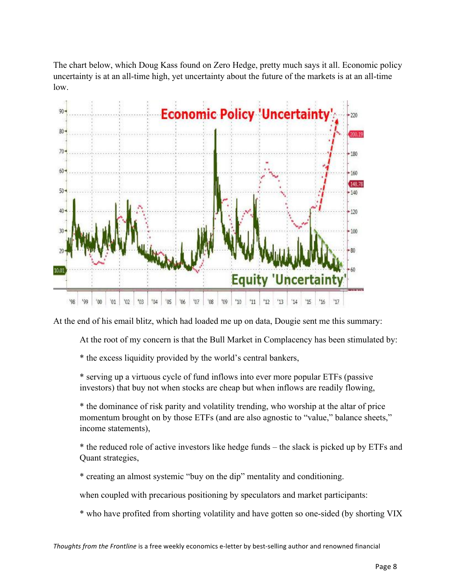The chart below, which Doug Kass found on Zero Hedge, pretty much says it all. Economic policy uncertainty is at an all-time high, yet uncertainty about the future of the markets is at an all-time low.



At the end of his email blitz, which had loaded me up on data, Dougie sent me this summary:

At the root of my concern is that the Bull Market in Complacency has been stimulated by:

\* the excess liquidity provided by the world's central bankers,

\* serving up a virtuous cycle of fund inflows into ever more popular ETFs (passive investors) that buy not when stocks are cheap but when inflows are readily flowing,

\* the dominance of risk parity and volatility trending, who worship at the altar of price momentum brought on by those ETFs (and are also agnostic to "value," balance sheets," income statements),

\* the reduced role of active investors like hedge funds – the slack is picked up by ETFs and Quant strategies,

\* creating an almost systemic "buy on the dip" mentality and conditioning.

when coupled with precarious positioning by speculators and market participants:

\* who have profited from shorting volatility and have gotten so one-sided (by shorting VIX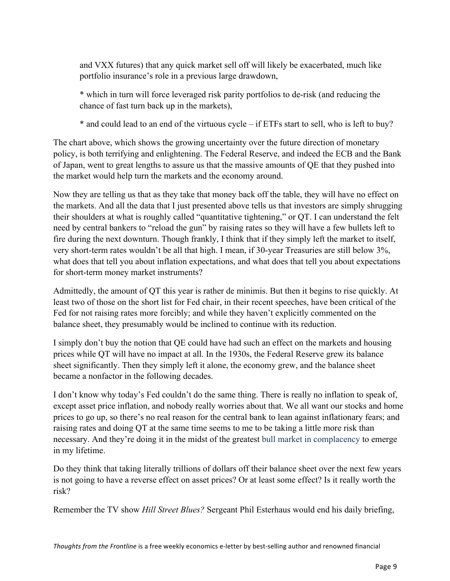and VXX futures) that any quick market sell off will likely be exacerbated, much like portfolio insurance's role in a previous large drawdown,

\* which in turn will force leveraged risk parity portfolios to de-risk (and reducing the chance of fast turn back up in the markets),

\* and could lead to an end of the virtuous cycle – if ETFs start to sell, who is left to buy?

The chart above, which shows the growing uncertainty over the future direction of monetary policy, is both terrifying and enlightening. The Federal Reserve, and indeed the ECB and the Bank of Japan, went to great lengths to assure us that the massive amounts of QE that they pushed into the market would help turn the markets and the economy around.

Now they are telling us that as they take that money back off the table, they will have no effect on the markets. And all the data that I just presented above tells us that investors are simply shrugging their shoulders at what is roughly called "quantitative tightening," or QT. I can understand the felt need by central bankers to "reload the gun" by raising rates so they will have a few bullets left to fire during the next downturn. Though frankly, I think that if they simply left the market to itself, very short-term rates wouldn't be all that high. I mean, if 30-year Treasuries are still below 3%, what does that tell you about inflation expectations, and what does that tell you about expectations for short-term money market instruments?

Admittedly, the amount of QT this year is rather de minimis. But then it begins to rise quickly. At least two of those on the short list for Fed chair, in their recent speeches, have been critical of the Fed for not raising rates more forcibly; and while they haven't explicitly commented on the balance sheet, they presumably would be inclined to continue with its reduction.

I simply don't buy the notion that QE could have had such an effect on the markets and housing prices while QT will have no impact at all. In the 1930s, the Federal Reserve grew its balance sheet significantly. Then they simply left it alone, the economy grew, and the balance sheet became a nonfactor in the following decades.

I don't know why today's Fed couldn't do the same thing. There is really no inflation to speak of, except asset price inflation, and nobody really worries about that. We all want our stocks and home prices to go up, so there's no real reason for the central bank to lean against inflationary fears; and raising rates and doing QT at the same time seems to me to be taking a little more risk than necessary. And they're doing it in the midst of the greatest bull market in complacency to emerge in my lifetime.

Do they think that taking literally trillions of dollars off their balance sheet over the next few years is not going to have a reverse effect on asset prices? Or at least some effect? Is it really worth the risk?

Remember the TV show *Hill Street Blues?* Sergeant Phil Esterhaus would end his daily briefing,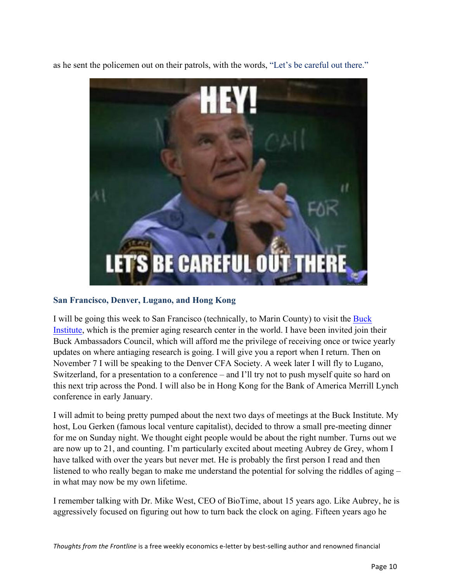as he sent the policemen out on their patrols, with the words, "Let's be careful out there."



#### **San Francisco, Denver, Lugano, and Hong Kong**

[I will be going this week to San Francisco \(technically, to Marin County\) to visit the Buck](https://www.buckinstitute.org/) Institute, which is the premier aging research center in the world. I have been invited join their Buck Ambassadors Council, which will afford me the privilege of receiving once or twice yearly updates on where antiaging research is going. I will give you a report when I return. Then on November 7 I will be speaking to the Denver CFA Society. A week later I will fly to Lugano, Switzerland, for a presentation to a conference – and I'll try not to push myself quite so hard on this next trip across the Pond. I will also be in Hong Kong for the Bank of America Merrill Lynch conference in early January.

I will admit to being pretty pumped about the next two days of meetings at the Buck Institute. My host, Lou Gerken (famous local venture capitalist), decided to throw a small pre-meeting dinner for me on Sunday night. We thought eight people would be about the right number. Turns out we are now up to 21, and counting. I'm particularly excited about meeting Aubrey de Grey, whom I have talked with over the years but never met. He is probably the first person I read and then listened to who really began to make me understand the potential for solving the riddles of aging – in what may now be my own lifetime.

I remember talking with Dr. Mike West, CEO of BioTime, about 15 years ago. Like Aubrey, he is aggressively focused on figuring out how to turn back the clock on aging. Fifteen years ago he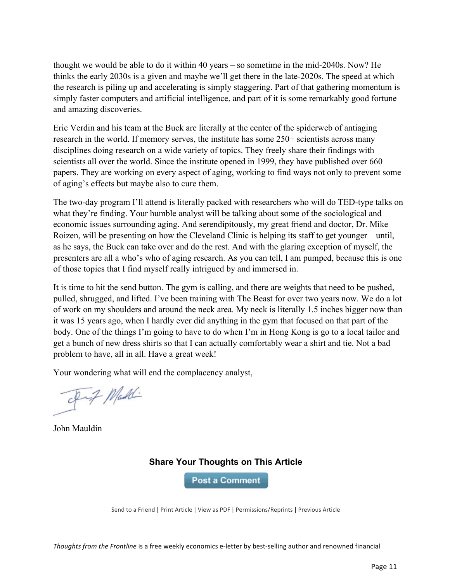thought we would be able to do it within 40 years – so sometime in the mid-2040s. Now? He thinks the early 2030s is a given and maybe we'll get there in the late-2020s. The speed at which the research is piling up and accelerating is simply staggering. Part of that gathering momentum is simply faster computers and artificial intelligence, and part of it is some remarkably good fortune and amazing discoveries.

Eric Verdin and his team at the Buck are literally at the center of the spiderweb of antiaging research in the world. If memory serves, the institute has some 250+ scientists across many disciplines doing research on a wide variety of topics. They freely share their findings with scientists all over the world. Since the institute opened in 1999, they have published over 660 papers. They are working on every aspect of aging, working to find ways not only to prevent some of aging's effects but maybe also to cure them.

The two-day program I'll attend is literally packed with researchers who will do TED-type talks on what they're finding. Your humble analyst will be talking about some of the sociological and economic issues surrounding aging. And serendipitously, my great friend and doctor, Dr. Mike Roizen, will be presenting on how the Cleveland Clinic is helping its staff to get younger – until, as he says, the Buck can take over and do the rest. And with the glaring exception of myself, the presenters are all a who's who of aging research. As you can tell, I am pumped, because this is one of those topics that I find myself really intrigued by and immersed in.

It is time to hit the send button. The gym is calling, and there are weights that need to be pushed, pulled, shrugged, and lifted. I've been training with The Beast for over two years now. We do a lot of work on my shoulders and around the neck area. My neck is literally 1.5 inches bigger now than it was 15 years ago, when I hardly ever did anything in the gym that focused on that part of the body. One of the things I'm going to have to do when I'm in Hong Kong is go to a local tailor and get a bunch of new dress shirts so that I can actually comfortably wear a shirt and tie. Not a bad problem to have, all in all. Have a great week!

Your wondering what will end the complacency analyst,

of Maddi

John Mauldin

# **Share Your Thoughts on This Article**

**Post a Comment** 

Send to a Friend | Print Article | View as PDF | Permissions/Reprints | Previous Article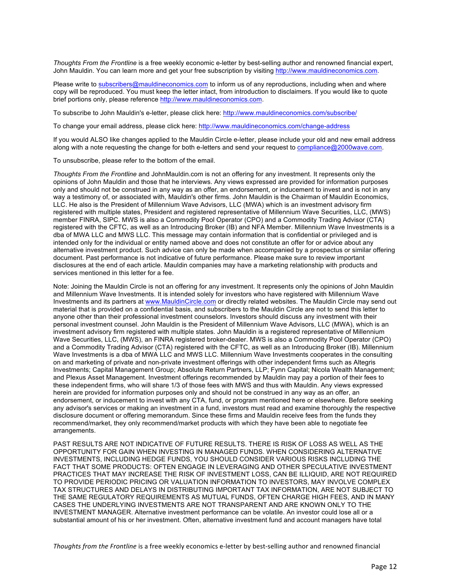*Thoughts From the Frontline* is a free weekly economic e-letter by best-selling author and renowned financial expert, John Mauldin. You can learn more and get your free subscription by visiting http://www.mauldineconomics.com.

Please write to subscribers@mauldineconomics.com to inform us of any reproductions, including when and where copy will be reproduced. You must keep the letter intact, from introduction to disclaimers. If you would like to quote brief portions only, please reference http://www.mauldineconomics.com.

To subscribe to John Mauldin's e-letter, please click here: http://www.mauldineconomics.com/subscribe/

To change your email address, please click here: http://www.mauldineconomics.com/change-address

If you would ALSO like changes applied to the Mauldin Circle e-letter, please include your old and new email address along with a note requesting the change for both e-letters and send your request to compliance@2000wave.com.

To unsubscribe, please refer to the bottom of the email.

*Thoughts From the Frontline* and JohnMauldin.com is not an offering for any investment. It represents only the opinions of John Mauldin and those that he interviews. Any views expressed are provided for information purposes only and should not be construed in any way as an offer, an endorsement, or inducement to invest and is not in any way a testimony of, or associated with, Mauldin's other firms. John Mauldin is the Chairman of Mauldin Economics, LLC. He also is the President of Millennium Wave Advisors, LLC (MWA) which is an investment advisory firm registered with multiple states, President and registered representative of Millennium Wave Securities, LLC, (MWS) member FINRA, SIPC. MWS is also a Commodity Pool Operator (CPO) and a Commodity Trading Advisor (CTA) registered with the CFTC, as well as an Introducing Broker (IB) and NFA Member. Millennium Wave Investments is a dba of MWA LLC and MWS LLC. This message may contain information that is confidential or privileged and is intended only for the individual or entity named above and does not constitute an offer for or advice about any alternative investment product. Such advice can only be made when accompanied by a prospectus or similar offering document. Past performance is not indicative of future performance. Please make sure to review important disclosures at the end of each article. Mauldin companies may have a marketing relationship with products and services mentioned in this letter for a fee.

Note: Joining the Mauldin Circle is not an offering for any investment. It represents only the opinions of John Mauldin and Millennium Wave Investments. It is intended solely for investors who have registered with Millennium Wave Investments and its partners at www.MauldinCircle.com or directly related websites. The Mauldin Circle may send out material that is provided on a confidential basis, and subscribers to the Mauldin Circle are not to send this letter to anyone other than their professional investment counselors. Investors should discuss any investment with their personal investment counsel. John Mauldin is the President of Millennium Wave Advisors, LLC (MWA), which is an investment advisory firm registered with multiple states. John Mauldin is a registered representative of Millennium Wave Securities, LLC, (MWS), an FINRA registered broker-dealer. MWS is also a Commodity Pool Operator (CPO) and a Commodity Trading Advisor (CTA) registered with the CFTC, as well as an Introducing Broker (IB). Millennium Wave Investments is a dba of MWA LLC and MWS LLC. Millennium Wave Investments cooperates in the consulting on and marketing of private and non-private investment offerings with other independent firms such as Altegris Investments; Capital Management Group; Absolute Return Partners, LLP; Fynn Capital; Nicola Wealth Management; and Plexus Asset Management. Investment offerings recommended by Mauldin may pay a portion of their fees to these independent firms, who will share 1/3 of those fees with MWS and thus with Mauldin. Any views expressed herein are provided for information purposes only and should not be construed in any way as an offer, an endorsement, or inducement to invest with any CTA, fund, or program mentioned here or elsewhere. Before seeking any advisor's services or making an investment in a fund, investors must read and examine thoroughly the respective disclosure document or offering memorandum. Since these firms and Mauldin receive fees from the funds they recommend/market, they only recommend/market products with which they have been able to negotiate fee arrangements.

PAST RESULTS ARE NOT INDICATIVE OF FUTURE RESULTS. THERE IS RISK OF LOSS AS WELL AS THE OPPORTUNITY FOR GAIN WHEN INVESTING IN MANAGED FUNDS. WHEN CONSIDERING ALTERNATIVE INVESTMENTS, INCLUDING HEDGE FUNDS, YOU SHOULD CONSIDER VARIOUS RISKS INCLUDING THE FACT THAT SOME PRODUCTS: OFTEN ENGAGE IN LEVERAGING AND OTHER SPECULATIVE INVESTMENT PRACTICES THAT MAY INCREASE THE RISK OF INVESTMENT LOSS, CAN BE ILLIQUID, ARE NOT REQUIRED TO PROVIDE PERIODIC PRICING OR VALUATION INFORMATION TO INVESTORS, MAY INVOLVE COMPLEX TAX STRUCTURES AND DELAYS IN DISTRIBUTING IMPORTANT TAX INFORMATION, ARE NOT SUBJECT TO THE SAME REGULATORY REQUIREMENTS AS MUTUAL FUNDS, OFTEN CHARGE HIGH FEES, AND IN MANY CASES THE UNDERLYING INVESTMENTS ARE NOT TRANSPARENT AND ARE KNOWN ONLY TO THE INVESTMENT MANAGER. Alternative investment performance can be volatile. An investor could lose all or a substantial amount of his or her investment. Often, alternative investment fund and account managers have total

*Thoughts from the Frontline* is a free weekly economics e-letter by best-selling author and renowned financial